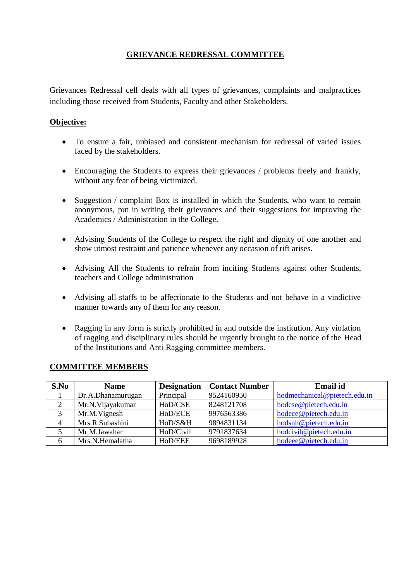## **GRIEVANCE REDRESSAL COMMITTEE**

Grievances Redressal cell deals with all types of grievances, complaints and malpractices including those received from Students, Faculty and other Stakeholders.

## **Objective:**

- To ensure a fair, unbiased and consistent mechanism for redressal of varied issues faced by the stakeholders.
- Encouraging the Students to express their grievances / problems freely and frankly, without any fear of being victimized.
- Suggestion / complaint Box is installed in which the Students, who want to remain anonymous, put in writing their grievances and their suggestions for improving the Academics / Administration in the College.
- Advising Students of the College to respect the right and dignity of one another and show utmost restraint and patience whenever any occasion of rift arises.
- Advising All the Students to refrain from inciting Students against other Students, teachers and College administration
- Advising all staffs to be affectionate to the Students and not behave in a vindictive manner towards any of them for any reason.
- Ragging in any form is strictly prohibited in and outside the institution. Any violation of ragging and disciplinary rules should be urgently brought to the notice of the Head of the Institutions and Anti Ragging committee members.

| S.No | <b>Name</b>       | <b>Designation</b> | <b>Contact Number</b> | <b>Email</b> id              |
|------|-------------------|--------------------|-----------------------|------------------------------|
|      | Dr.A.Dhanamurugan | Principal          | 9524160950            | hodmechanical@pietech.edu.in |
| 2    | Mr.N.Vijayakumar  | HoD/CSE            | 8248121708            | hodcse@pietech.edu.in        |
| 3    | Mr.M. Vignesh     | HoD/ECE            | 9976563386            | hodece@pietech.edu.in        |
| 4    | Mrs.R.Subashini   | HoD/S&H            | 9894831134            | hodsnh@pietech.edu.in        |
|      | Mr.M.Jawahar      | HoD/Civil          | 9791837634            | hodcivil@pietech.edu.in      |
|      | Mrs.N.Hemalatha   | HoD/EEE            | 9698189928            | hodeee@pietech.edu.in        |

#### **COMMITTEE MEMBERS**